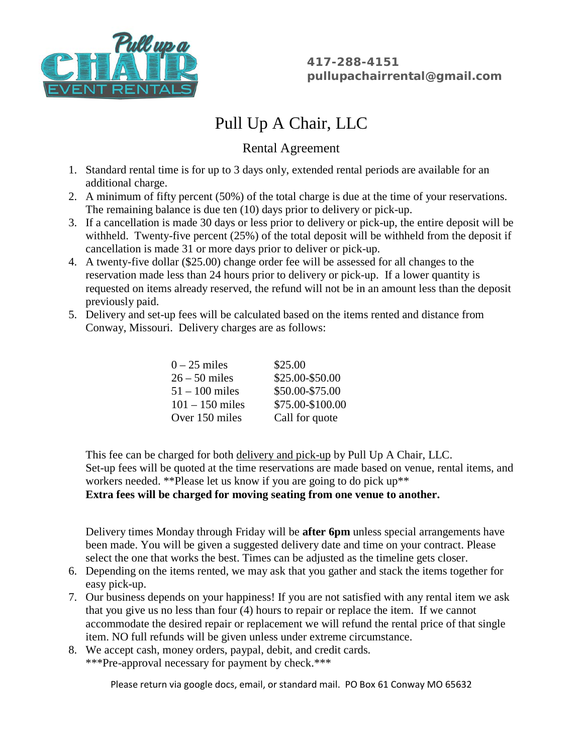

**417-288-4151 [pullupachairrental@gmail.com](mailto:pullupachairrental@gmail.com)**

## Pull Up A Chair, LLC

## Rental Agreement

- 1. Standard rental time is for up to 3 days only, extended rental periods are available for an additional charge.
- 2. A minimum of fifty percent (50%) of the total charge is due at the time of your reservations. The remaining balance is due ten (10) days prior to delivery or pick-up.
- 3. If a cancellation is made 30 days or less prior to delivery or pick-up, the entire deposit will be withheld. Twenty-five percent (25%) of the total deposit will be withheld from the deposit if cancellation is made 31 or more days prior to deliver or pick-up.
- 4. A twenty-five dollar (\$25.00) change order fee will be assessed for all changes to the reservation made less than 24 hours prior to delivery or pick-up. If a lower quantity is requested on items already reserved, the refund will not be in an amount less than the deposit previously paid.
- 5. Delivery and set-up fees will be calculated based on the items rented and distance from Conway, Missouri. Delivery charges are as follows:

| $0-25$ miles      | \$25.00          |
|-------------------|------------------|
| $26 - 50$ miles   | \$25.00-\$50.00  |
| $51 - 100$ miles  | \$50.00-\$75.00  |
| $101 - 150$ miles | \$75.00-\$100.00 |
| Over 150 miles    | Call for quote   |

This fee can be charged for both delivery and pick-up by Pull Up A Chair, LLC. Set-up fees will be quoted at the time reservations are made based on venue, rental items, and workers needed. \*\*Please let us know if you are going to do pick up\*\* **Extra fees will be charged for moving seating from one venue to another.**

Delivery times Monday through Friday will be **after 6pm** unless special arrangements have been made. You will be given a suggested delivery date and time on your contract. Please select the one that works the best. Times can be adjusted as the timeline gets closer.

- 6. Depending on the items rented, we may ask that you gather and stack the items together for easy pick-up.
- 7. Our business depends on your happiness! If you are not satisfied with any rental item we ask that you give us no less than four (4) hours to repair or replace the item. If we cannot accommodate the desired repair or replacement we will refund the rental price of that single item. NO full refunds will be given unless under extreme circumstance.
- 8. We accept cash, money orders, paypal, debit, and credit cards. \*\*\*Pre-approval necessary for payment by check.\*\*\*

Please return via google docs, email, or standard mail. PO Box 61 Conway MO 65632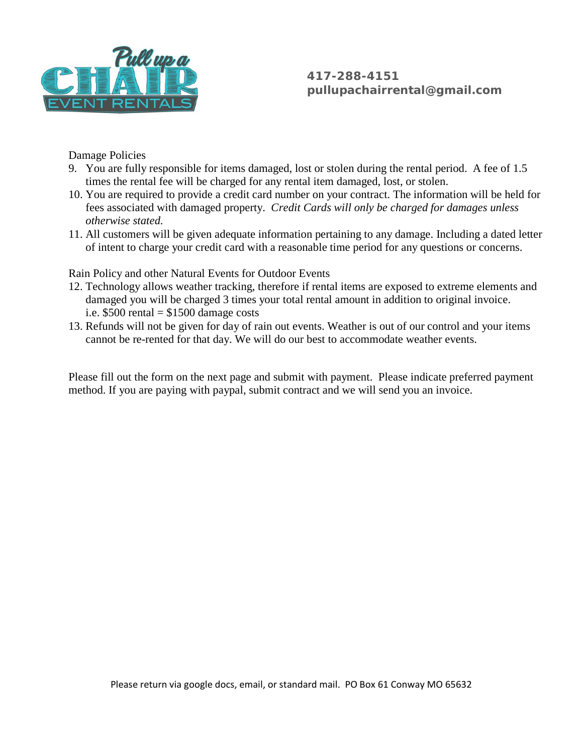

**417-288-4151 [pullupachairrental@gmail.com](mailto:pullupachairrental@gmail.com)**

Damage Policies

- 9. You are fully responsible for items damaged, lost or stolen during the rental period. A fee of 1.5 times the rental fee will be charged for any rental item damaged, lost, or stolen.
- 10. You are required to provide a credit card number on your contract. The information will be held for fees associated with damaged property. *Credit Cards will only be charged for damages unless otherwise stated.*
- 11. All customers will be given adequate information pertaining to any damage. Including a dated letter of intent to charge your credit card with a reasonable time period for any questions or concerns.

Rain Policy and other Natural Events for Outdoor Events

- 12. Technology allows weather tracking, therefore if rental items are exposed to extreme elements and damaged you will be charged 3 times your total rental amount in addition to original invoice. i.e.  $$500$  rental =  $$1500$  damage costs
- 13. Refunds will not be given for day of rain out events. Weather is out of our control and your items cannot be re-rented for that day. We will do our best to accommodate weather events.

Please fill out the form on the next page and submit with payment. Please indicate preferred payment method. If you are paying with paypal, submit contract and we will send you an invoice.